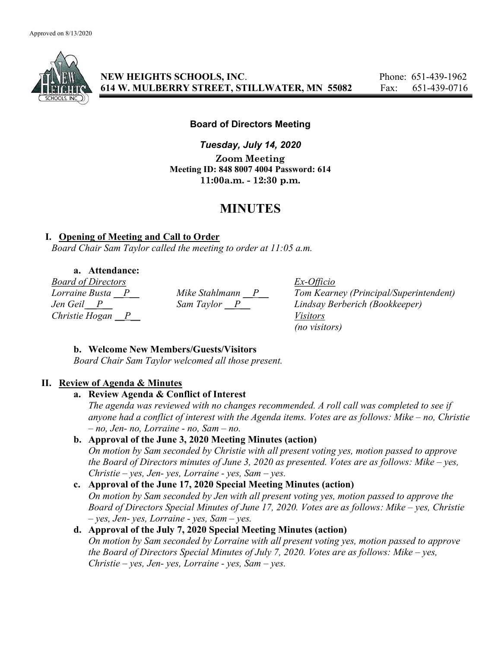

NEW HEIGHTS SCHOOLS, INC. Phone: 651-439-1962 614 W. MULBERRY STREET, STILLWATER, MN 55082 Fax: 651-439-0716

#### Board of Directors Meeting

Tuesday, July 14, 2020 Zoom Meeting Meeting ID: 848 8007 4004 Password: 614 11:00a.m. - 12:30 p.m.

# MINUTES

### I. Opening of Meeting and Call to Order

Board Chair Sam Taylor called the meeting to order at 11:05 a.m.

## a. Attendance:

**Board of Directors**<br>
Lorraine Busta <u>P</u> Mike Stahlmann <u>P</u> Tom Kearn Christie Hogan  $\overline{P}$  Visitors

Lorraine Busta  $\frac{P}{P}$  Mike Stahlmann  $\frac{P}{P}$  Tom Kearney (Principal/Superintendent)<br>Jen Geil  $\frac{P}{P}$  Sam Taylor  $\frac{P}{P}$  Lindsay Berberich (Bookkeeper) Jen Geil P Sam Taylor P Lindsay Berberich (Bookkeeper) (no visitors)

### b. Welcome New Members/Guests/Visitors

Board Chair Sam Taylor welcomed all those present.

### II. Review of Agenda & Minutes

### a. Review Agenda & Conflict of Interest

The agenda was reviewed with no changes recommended. A roll call was completed to see if anyone had a conflict of interest with the Agenda items. Votes are as follows: Mike – no, Christie  $- no$ , Jen- no, Lorraine - no, Sam  $- no$ .

# b. Approval of the June 3, 2020 Meeting Minutes (action)

On motion by Sam seconded by Christie with all present voting yes, motion passed to approve the Board of Directors minutes of June 3, 2020 as presented. Votes are as follows: Mike – yes,  $Christie - yes, Jen- yes, Lorraine - yes, Sam- yes.$ 

# c. Approval of the June 17, 2020 Special Meeting Minutes (action)

On motion by Sam seconded by Jen with all present voting yes, motion passed to approve the Board of Directors Special Minutes of June 17, 2020. Votes are as follows: Mike – yes, Christie  $-$  yes, Jen- yes, Lorraine - yes, Sam  $-$  yes.

### d. Approval of the July 7, 2020 Special Meeting Minutes (action)

On motion by Sam seconded by Lorraine with all present voting yes, motion passed to approve the Board of Directors Special Minutes of July 7, 2020. Votes are as follows: Mike – yes,  $Christie - yes, Jen- yes, Lorraine - yes, Sam- yes.$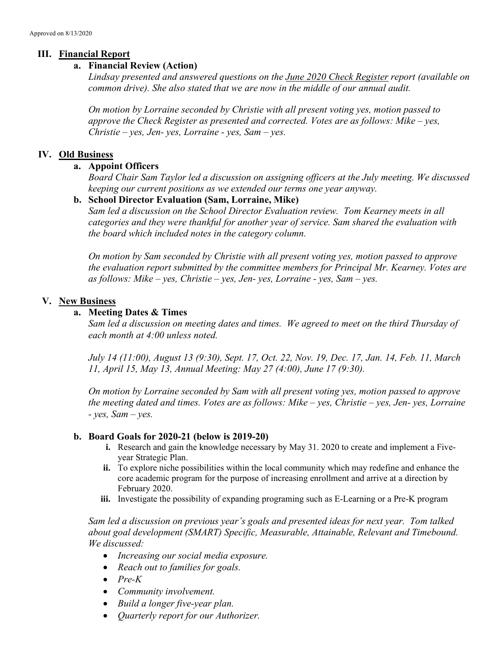# III. Financial Report

## a. Financial Review (Action)

Lindsay presented and answered questions on the *June 2020 Check Register report (available on* common drive). She also stated that we are now in the middle of our annual audit.

On motion by Lorraine seconded by Christie with all present voting yes, motion passed to approve the Check Register as presented and corrected. Votes are as follows: Mike – yes,  $Christie - yes, Jen- yes, Lorraine - yes, Sam - yes.$ 

# IV. Old Business

### a. Appoint Officers

Board Chair Sam Taylor led a discussion on assigning officers at the July meeting. We discussed keeping our current positions as we extended our terms one year anyway.

# b. School Director Evaluation (Sam, Lorraine, Mike)

Sam led a discussion on the School Director Evaluation review. Tom Kearney meets in all categories and they were thankful for another year of service. Sam shared the evaluation with the board which included notes in the category column.

On motion by Sam seconded by Christie with all present voting yes, motion passed to approve the evaluation report submitted by the committee members for Principal Mr. Kearney. Votes are as follows: Mike – yes, Christie – yes, Jen- yes, Lorraine - yes, Sam – yes.

# V. New Business

# a. Meeting Dates & Times

Sam led a discussion on meeting dates and times. We agreed to meet on the third Thursday of each month at 4:00 unless noted.

July 14 (11:00), August 13 (9:30), Sept. 17, Oct. 22, Nov. 19, Dec. 17, Jan. 14, Feb. 11, March 11, April 15, May 13, Annual Meeting: May 27 (4:00), June 17 (9:30).

On motion by Lorraine seconded by Sam with all present voting yes, motion passed to approve the meeting dated and times. Votes are as follows: Mike – yes, Christie – yes, Jen- yes, Lorraine  $-$  yes, Sam  $-$  yes.

### b. Board Goals for 2020-21 (below is 2019-20)

- i. Research and gain the knowledge necessary by May 31. 2020 to create and implement a Fiveyear Strategic Plan.
- ii. To explore niche possibilities within the local community which may redefine and enhance the core academic program for the purpose of increasing enrollment and arrive at a direction by February 2020.
- iii. Investigate the possibility of expanding programing such as E-Learning or a Pre-K program

Sam led a discussion on previous year's goals and presented ideas for next year. Tom talked about goal development (SMART) Specific, Measurable, Attainable, Relevant and Timebound. We discussed:

- Increasing our social media exposure.
- Reach out to families for goals.
- $\bullet$  Pre-K
- Community involvement.
- Build a longer five-year plan.
- Quarterly report for our Authorizer.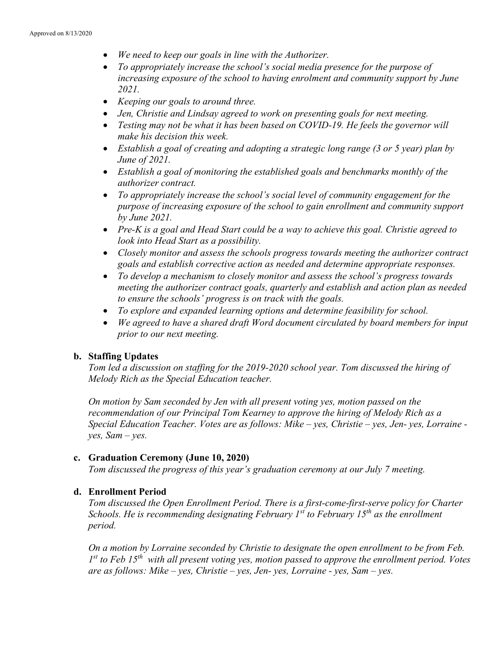- We need to keep our goals in line with the Authorizer.
- To appropriately increase the school's social media presence for the purpose of increasing exposure of the school to having enrolment and community support by June 2021.
- Keeping our goals to around three.
- Jen, Christie and Lindsay agreed to work on presenting goals for next meeting.
- Testing may not be what it has been based on COVID-19. He feels the governor will make his decision this week.
- Establish a goal of creating and adopting a strategic long range (3 or 5 year) plan by June of 2021.
- Establish a goal of monitoring the established goals and benchmarks monthly of the authorizer contract.
- To appropriately increase the school's social level of community engagement for the purpose of increasing exposure of the school to gain enrollment and community support by June 2021.
- Pre-K is a goal and Head Start could be a way to achieve this goal. Christie agreed to look into Head Start as a possibility.
- Closely monitor and assess the schools progress towards meeting the authorizer contract goals and establish corrective action as needed and determine appropriate responses.
- To develop a mechanism to closely monitor and assess the school's progress towards meeting the authorizer contract goals, quarterly and establish and action plan as needed to ensure the schools' progress is on track with the goals.
- To explore and expanded learning options and determine feasibility for school.
- We agreed to have a shared draft Word document circulated by board members for input prior to our next meeting.

# b. Staffing Updates

Tom led a discussion on staffing for the 2019-2020 school year. Tom discussed the hiring of Melody Rich as the Special Education teacher.

On motion by Sam seconded by Jen with all present voting yes, motion passed on the recommendation of our Principal Tom Kearney to approve the hiring of Melody Rich as a Special Education Teacher. Votes are as follows: Mike – yes, Christie – yes, Jen- yes, Lorraine  $yes, Sam-yes.$ 

### c. Graduation Ceremony (June 10, 2020)

Tom discussed the progress of this year's graduation ceremony at our July 7 meeting.

# d. Enrollment Period

Tom discussed the Open Enrollment Period. There is a first-come-first-serve policy for Charter Schools. He is recommending designating February  $1^{st}$  to February  $15^{th}$  as the enrollment period.

On a motion by Lorraine seconded by Christie to designate the open enrollment to be from Feb.  $1^{st}$  to Feb 15<sup>th</sup> with all present voting yes, motion passed to approve the enrollment period. Votes are as follows: Mike – yes, Christie – yes, Jen- yes, Lorraine - yes, Sam – yes.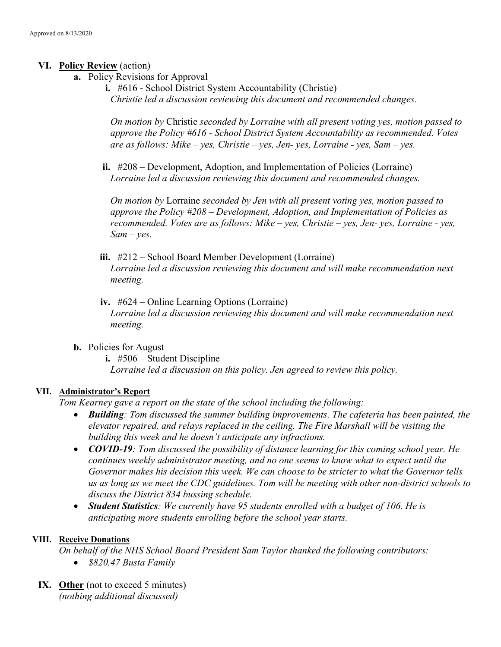### VI. Policy Review (action)

- a. Policy Revisions for Approval
	- i. #616 School District System Accountability (Christie) Christie led a discussion reviewing this document and recommended changes.

On motion by Christie seconded by Lorraine with all present voting yes, motion passed to approve the Policy #616 - School District System Accountability as recommended. Votes are as follows: Mike – yes, Christie – yes, Jen- yes, Lorraine - yes, Sam – yes.

ii. #208 – Development, Adoption, and Implementation of Policies (Lorraine) Lorraine led a discussion reviewing this document and recommended changes.

On motion by Lorraine seconded by Jen with all present voting yes, motion passed to approve the Policy #208 – Development, Adoption, and Implementation of Policies as recommended. Votes are as follows: Mike – yes, Christie – yes, Jen- yes, Lorraine - yes,  $Sam - ves.$ 

- iii. #212 School Board Member Development (Lorraine) Lorraine led a discussion reviewing this document and will make recommendation next meeting.
- iv. #624 Online Learning Options (Lorraine) Lorraine led a discussion reviewing this document and will make recommendation next meeting.
- b. Policies for August
	- i. #506 Student Discipline Lorraine led a discussion on this policy. Jen agreed to review this policy.

### VII. Administrator's Report

Tom Kearney gave a report on the state of the school including the following:

- Building: Tom discussed the summer building improvements. The cafeteria has been painted, the elevator repaired, and relays replaced in the ceiling. The Fire Marshall will be visiting the building this week and he doesn't anticipate any infractions.
- COVID-19: Tom discussed the possibility of distance learning for this coming school year. He continues weekly administrator meeting, and no one seems to know what to expect until the Governor makes his decision this week. We can choose to be stricter to what the Governor tells us as long as we meet the CDC guidelines. Tom will be meeting with other non-district schools to discuss the District 834 bussing schedule.
- Student Statistics: We currently have 95 students enrolled with a budget of 106. He is anticipating more students enrolling before the school year starts.

### VIII. Receive Donations

On behalf of the NHS School Board President Sam Taylor thanked the following contributors: • \$820.47 Busta Family

IX. Other (not to exceed 5 minutes) (nothing additional discussed)